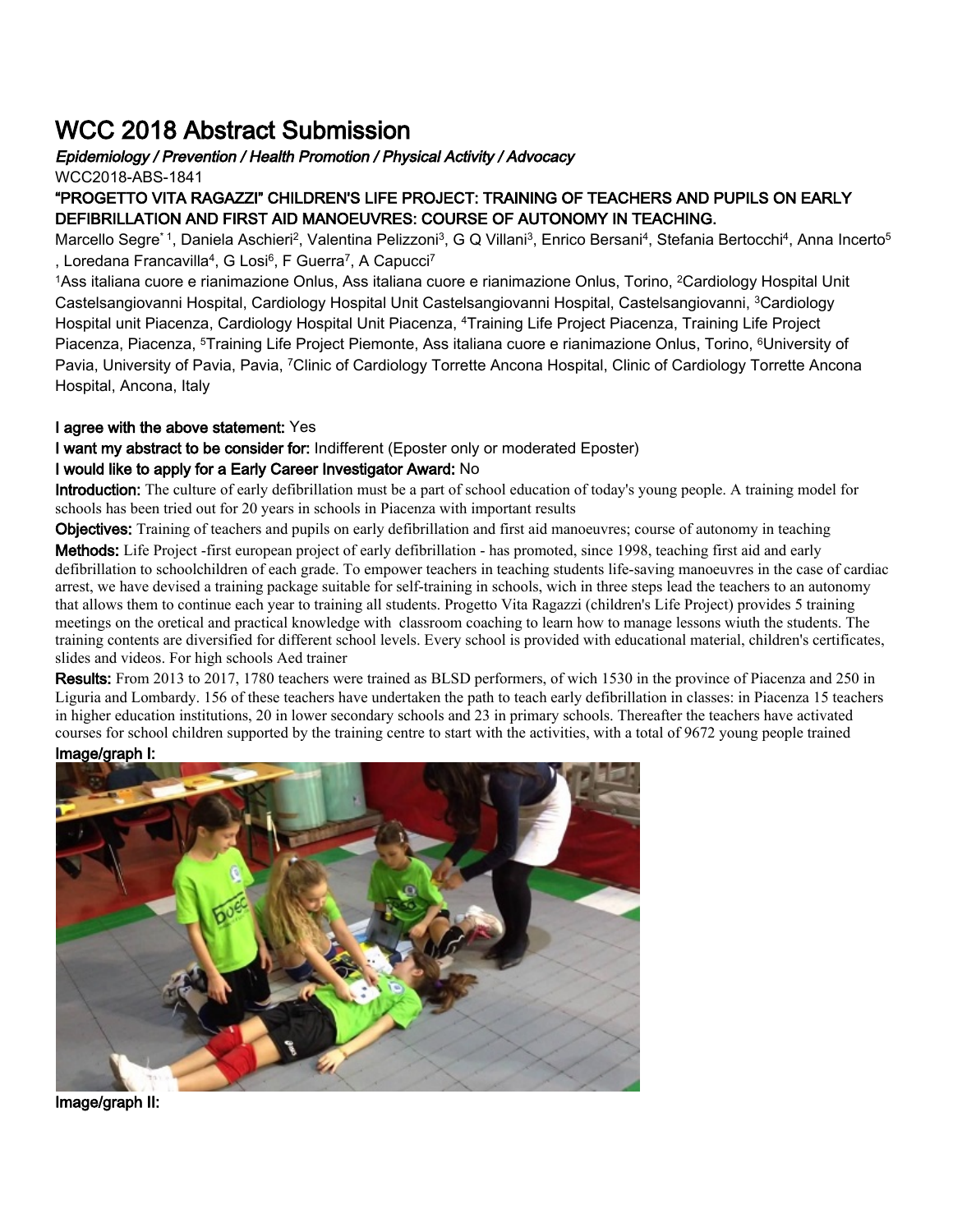# WCC 2018 Abstract Submission

## Epidemiology / Prevention / Health Promotion / Physical Activity / Advocacy

WCC2018-ABS-1841

#### "PROGETTO VITA RAGAZZI" CHILDREN'S LIFE PROJECT: TRAINING OF TEACHERS AND PUPILS ON EARLY DEFIBRILLATION AND FIRST AID MANOEUVRES: COURSE OF AUTONOMY IN TEACHING.

Marcello Segre<sup>\* 1</sup>, Daniela Aschieri<sup>2</sup>, Valentina Pelizzoni<sup>3</sup>, G Q Villani<sup>3</sup>, Enrico Bersani<sup>4</sup>, Stefania Bertocchi<sup>4</sup>, Anna Incerto<sup>5</sup> , Loredana Francavilla<sup>4</sup>, G Losi<sup>6</sup>, F Guerra<sup>7</sup>, A Capucci<sup>7</sup>

<sup>1</sup>Ass italiana cuore e rianimazione Onlus, Ass italiana cuore e rianimazione Onlus, Torino, <sup>2</sup>Cardiology Hospital Unit Castelsangiovanni Hospital, Cardiology Hospital Unit Castelsangiovanni Hospital, Castelsangiovanni, <sup>3</sup>Cardiology Hospital unit Piacenza, Cardiology Hospital Unit Piacenza, <sup>4</sup>Training Life Project Piacenza, Training Life Project Piacenza, Piacenza, <sup>5</sup>Training Life Project Piemonte, Ass italiana cuore e rianimazione Onlus, Torino, <sup>6</sup>University of Pavia, University of Pavia, Pavia, <sup>7</sup>Clinic of Cardiology Torrette Ancona Hospital, Clinic of Cardiology Torrette Ancona Hospital, Ancona, Italy

#### I agree with the above statement: Yes

I want my abstract to be consider for: Indifferent (Eposter only or moderated Eposter)

### I would like to apply for a Early Career Investigator Award: No

Introduction: The culture of early defibrillation must be a part of school education of today's young people. A training model for schools has been tried out for 20 years in schools in Piacenza with important results

Objectives: Training of teachers and pupils on early defibrillation and first aid manoeuvres; course of autonomy in teaching

Methods: Life Project -first european project of early defibrillation - has promoted, since 1998, teaching first aid and early defibrillation to schoolchildren of each grade. To empower teachers in teaching students life-saving manoeuvres in the case of cardiac arrest, we have devised a training package suitable for self-training in schools, wich in three steps lead the teachers to an autonomy that allows them to continue each year to training all students. Progetto Vita Ragazzi (children's Life Project) provides 5 training meetings on the oretical and practical knowledge with classroom coaching to learn how to manage lessons wiuth the students. The training contents are diversified for different school levels. Every school is provided with educational material, children's certificates, slides and videos. For high schools Aed trainer

Results: From 2013 to 2017, 1780 teachers were trained as BLSD performers, of wich 1530 in the province of Piacenza and 250 in Liguria and Lombardy. 156 of these teachers have undertaken the path to teach early defibrillation in classes: in Piacenza 15 teachers in higher education institutions, 20 in lower secondary schools and 23 in primary schools. Thereafter the teachers have activated courses for school children supported by the training centre to start with the activities, with a total of 9672 young people trained Image/graph I: